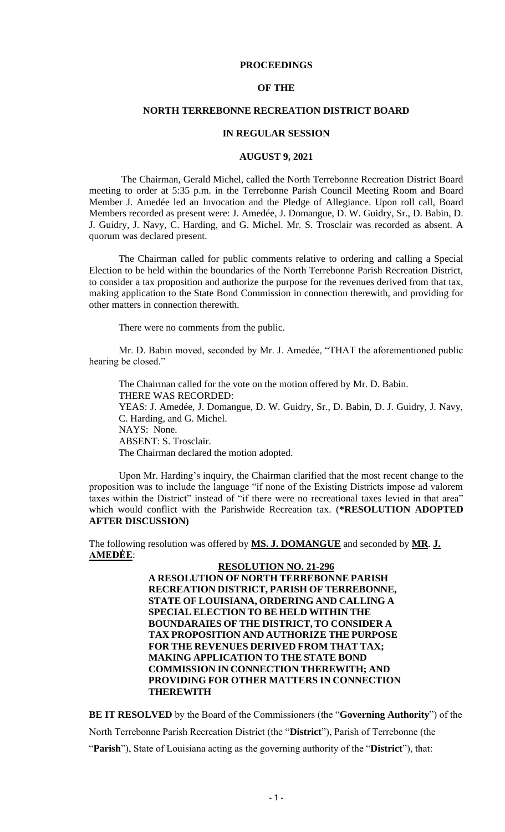#### **PROCEEDINGS**

#### **OF THE**

#### **NORTH TERREBONNE RECREATION DISTRICT BOARD**

#### **IN REGULAR SESSION**

#### **AUGUST 9, 2021**

The Chairman, Gerald Michel, called the North Terrebonne Recreation District Board meeting to order at 5:35 p.m. in the Terrebonne Parish Council Meeting Room and Board Member J. Amedée led an Invocation and the Pledge of Allegiance. Upon roll call, Board Members recorded as present were: J. Amedée, J. Domangue, D. W. Guidry, Sr., D. Babin, D. J. Guidry, J. Navy, C. Harding, and G. Michel. Mr. S. Trosclair was recorded as absent. A quorum was declared present.

The Chairman called for public comments relative to ordering and calling a Special Election to be held within the boundaries of the North Terrebonne Parish Recreation District, to consider a tax proposition and authorize the purpose for the revenues derived from that tax, making application to the State Bond Commission in connection therewith, and providing for other matters in connection therewith.

There were no comments from the public.

Mr. D. Babin moved, seconded by Mr. J. Amedée, "THAT the aforementioned public hearing be closed."

The Chairman called for the vote on the motion offered by Mr. D. Babin. THERE WAS RECORDED: YEAS: J. Amedée, J. Domangue, D. W. Guidry, Sr., D. Babin, D. J. Guidry, J. Navy, C. Harding, and G. Michel. NAYS: None. ABSENT: S. Trosclair. The Chairman declared the motion adopted.

Upon Mr. Harding's inquiry, the Chairman clarified that the most recent change to the proposition was to include the language "if none of the Existing Districts impose ad valorem taxes within the District" instead of "if there were no recreational taxes levied in that area" which would conflict with the Parishwide Recreation tax. (**\*RESOLUTION ADOPTED AFTER DISCUSSION)**

The following resolution was offered by **MS. J. DOMANGUE** and seconded by **MR**. **J. AMEDĖE**:

> **RESOLUTION NO. 21-296 A RESOLUTION OF NORTH TERREBONNE PARISH RECREATION DISTRICT, PARISH OF TERREBONNE, STATE OF LOUISIANA, ORDERING AND CALLING A SPECIAL ELECTION TO BE HELD WITHIN THE BOUNDARAIES OF THE DISTRICT, TO CONSIDER A TAX PROPOSITION AND AUTHORIZE THE PURPOSE FOR THE REVENUES DERIVED FROM THAT TAX; MAKING APPLICATION TO THE STATE BOND COMMISSION IN CONNECTION THEREWITH; AND PROVIDING FOR OTHER MATTERS IN CONNECTION THEREWITH**

**BE IT RESOLVED** by the Board of the Commissioners (the "**Governing Authority**") of the North Terrebonne Parish Recreation District (the "**District**"), Parish of Terrebonne (the "**Parish**"), State of Louisiana acting as the governing authority of the "**District**"), that: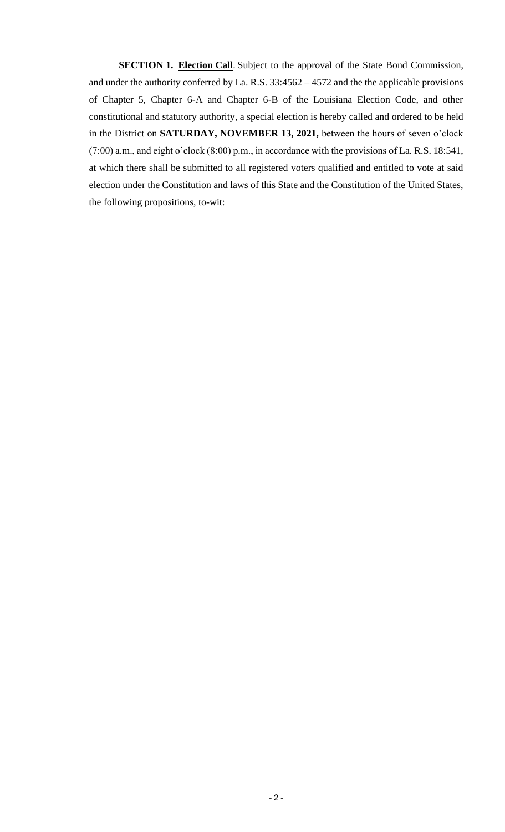**SECTION 1. Election Call**. Subject to the approval of the State Bond Commission, and under the authority conferred by La. R.S. 33:4562 – 4572 and the the applicable provisions of Chapter 5, Chapter 6-A and Chapter 6-B of the Louisiana Election Code, and other constitutional and statutory authority, a special election is hereby called and ordered to be held in the District on **SATURDAY, NOVEMBER 13, 2021,** between the hours of seven o'clock (7:00) a.m., and eight o'clock (8:00) p.m., in accordance with the provisions of La. R.S. 18:541, at which there shall be submitted to all registered voters qualified and entitled to vote at said election under the Constitution and laws of this State and the Constitution of the United States, the following propositions, to-wit: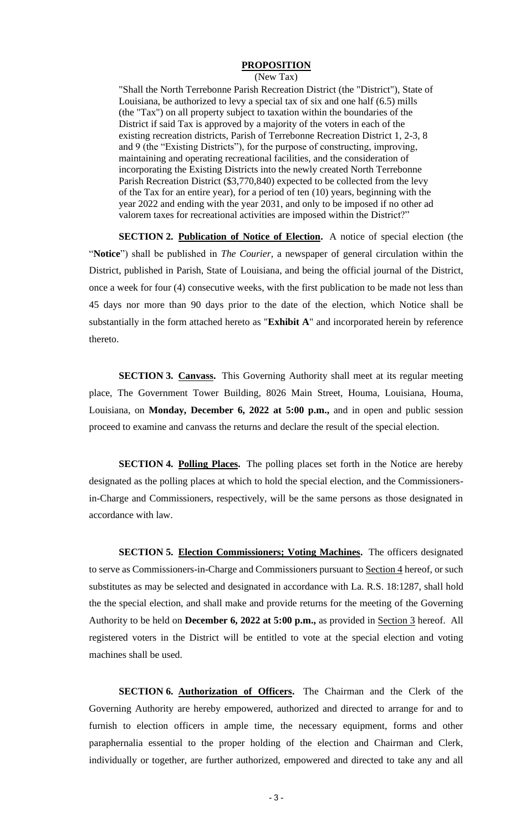### **PROPOSITION**

#### (New Tax)

"Shall the North Terrebonne Parish Recreation District (the "District"), State of Louisiana, be authorized to levy a special tax of six and one half (6.5) mills (the "Tax") on all property subject to taxation within the boundaries of the District if said Tax is approved by a majority of the voters in each of the existing recreation districts, Parish of Terrebonne Recreation District 1, 2-3, 8 and 9 (the "Existing Districts"), for the purpose of constructing, improving, maintaining and operating recreational facilities, and the consideration of incorporating the Existing Districts into the newly created North Terrebonne Parish Recreation District (\$3,770,840) expected to be collected from the levy of the Tax for an entire year), for a period of ten (10) years, beginning with the year 2022 and ending with the year 2031, and only to be imposed if no other ad valorem taxes for recreational activities are imposed within the District?"

**SECTION 2. Publication of Notice of Election.** A notice of special election (the "**Notice**") shall be published in *The Courier,* a newspaper of general circulation within the District, published in Parish, State of Louisiana, and being the official journal of the District, once a week for four (4) consecutive weeks, with the first publication to be made not less than 45 days nor more than 90 days prior to the date of the election, which Notice shall be substantially in the form attached hereto as "**Exhibit A**" and incorporated herein by reference thereto.

**SECTION 3. Canvass.** This Governing Authority shall meet at its regular meeting place, The Government Tower Building, 8026 Main Street, Houma, Louisiana, Houma, Louisiana, on **Monday, December 6, 2022 at 5:00 p.m.,** and in open and public session proceed to examine and canvass the returns and declare the result of the special election.

**SECTION 4. Polling Places.** The polling places set forth in the Notice are hereby designated as the polling places at which to hold the special election, and the Commissionersin-Charge and Commissioners, respectively, will be the same persons as those designated in accordance with law.

**SECTION 5. Election Commissioners; Voting Machines.** The officers designated to serve as Commissioners-in-Charge and Commissioners pursuant to Section 4 hereof, or such substitutes as may be selected and designated in accordance with La. R.S. 18:1287, shall hold the the special election, and shall make and provide returns for the meeting of the Governing Authority to be held on **December 6, 2022 at 5:00 p.m.,** as provided in Section 3 hereof. All registered voters in the District will be entitled to vote at the special election and voting machines shall be used.

**SECTION 6. Authorization of Officers.** The Chairman and the Clerk of the Governing Authority are hereby empowered, authorized and directed to arrange for and to furnish to election officers in ample time, the necessary equipment, forms and other paraphernalia essential to the proper holding of the election and Chairman and Clerk, individually or together, are further authorized, empowered and directed to take any and all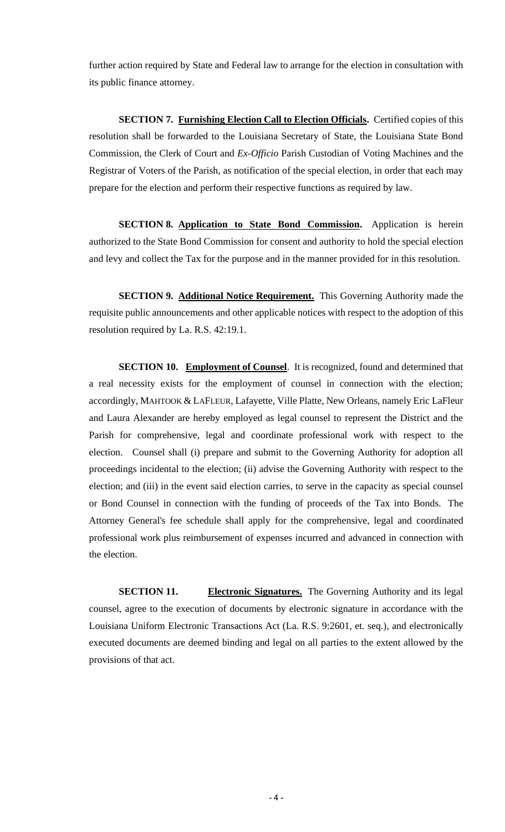further action required by State and Federal law to arrange for the election in consultation with its public finance attorney.

**SECTION 7. Furnishing Election Call to Election Officials.** Certified copies of this resolution shall be forwarded to the Louisiana Secretary of State, the Louisiana State Bond Commission, the Clerk of Court and *Ex-Officio* Parish Custodian of Voting Machines and the Registrar of Voters of the Parish, as notification of the special election, in order that each may prepare for the election and perform their respective functions as required by law.

**SECTION 8. Application to State Bond Commission.** Application is herein authorized to the State Bond Commission for consent and authority to hold the special election and levy and collect the Tax for the purpose and in the manner provided for in this resolution.

**SECTION 9. Additional Notice Requirement.** This Governing Authority made the requisite public announcements and other applicable notices with respect to the adoption of this resolution required by La. R.S. 42:19.1.

**SECTION 10. Employment of Counsel**. It is recognized, found and determined that a real necessity exists for the employment of counsel in connection with the election; accordingly, MAHTOOK & LAFLEUR, Lafayette, Ville Platte, New Orleans, namely Eric LaFleur and Laura Alexander are hereby employed as legal counsel to represent the District and the Parish for comprehensive, legal and coordinate professional work with respect to the election. Counsel shall (i) prepare and submit to the Governing Authority for adoption all proceedings incidental to the election; (ii) advise the Governing Authority with respect to the election; and (iii) in the event said election carries, to serve in the capacity as special counsel or Bond Counsel in connection with the funding of proceeds of the Tax into Bonds. The Attorney General's fee schedule shall apply for the comprehensive, legal and coordinated professional work plus reimbursement of expenses incurred and advanced in connection with the election.

**SECTION 11. Electronic Signatures.** The Governing Authority and its legal counsel, agree to the execution of documents by electronic signature in accordance with the Louisiana Uniform Electronic Transactions Act (La. R.S. 9:2601, et. seq.), and electronically executed documents are deemed binding and legal on all parties to the extent allowed by the provisions of that act.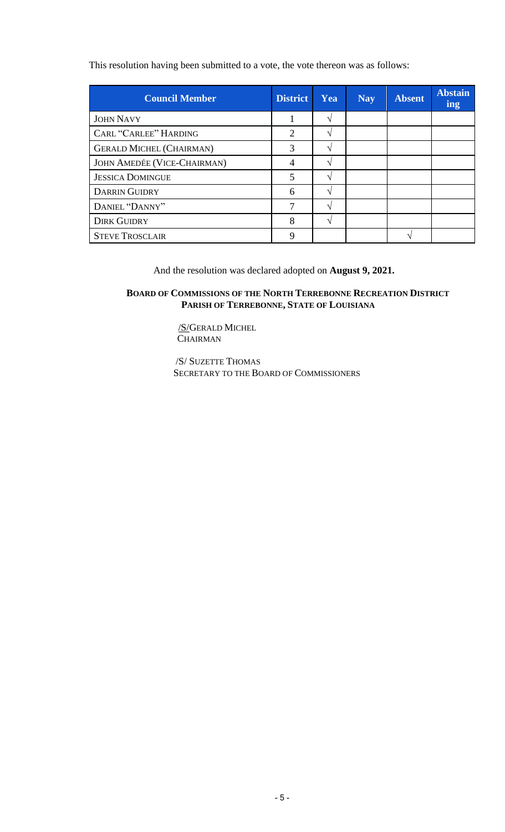This resolution having been submitted to a vote, the vote thereon was as follows:

| <b>Council Member</b>              | <b>District</b> | Yea | <b>Nay</b> | <b>Absent</b> | <b>Abstain</b><br>ing |
|------------------------------------|-----------------|-----|------------|---------------|-----------------------|
| <b>JOHN NAVY</b>                   |                 | ٦   |            |               |                       |
| <b>CARL "CARLEE" HARDING</b>       | $\overline{2}$  |     |            |               |                       |
| <b>GERALD MICHEL (CHAIRMAN)</b>    | 3               |     |            |               |                       |
| <b>JOHN AMEDÉE (VICE-CHAIRMAN)</b> | 4               |     |            |               |                       |
| <b>JESSICA DOMINGUE</b>            | 5               |     |            |               |                       |
| <b>DARRIN GUIDRY</b>               | 6               |     |            |               |                       |
| DANIEL "DANNY"                     | 7               | ٦   |            |               |                       |
| <b>DIRK GUIDRY</b>                 | 8               |     |            |               |                       |
| <b>STEVE TROSCLAIR</b>             | Q               |     |            |               |                       |

And the resolution was declared adopted on **August 9, 2021.** 

# **BOARD OF COMMISSIONS OF THE NORTH TERREBONNE RECREATION DISTRICT PARISH OF TERREBONNE, STATE OF LOUISIANA**

/S/GERALD MICHEL **CHAIRMAN** 

 /S/ SUZETTE THOMAS SECRETARY TO THE BOARD OF COMMISSIONERS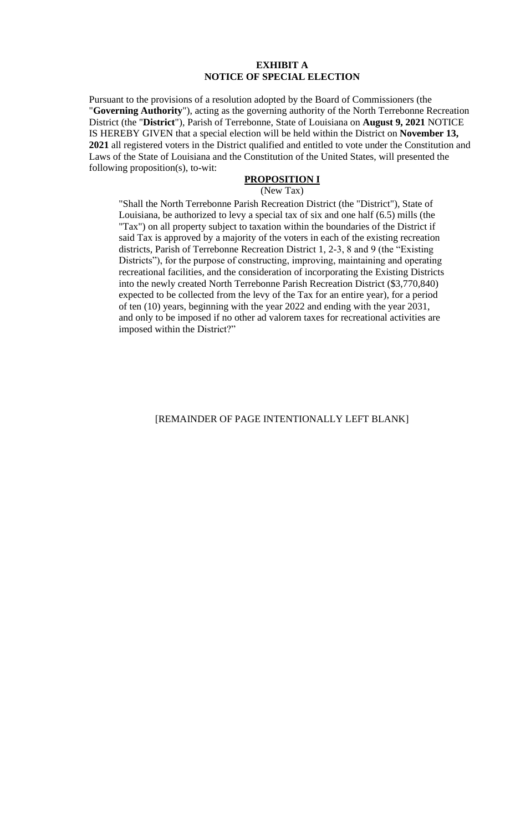#### **EXHIBIT A NOTICE OF SPECIAL ELECTION**

Pursuant to the provisions of a resolution adopted by the Board of Commissioners (the "**Governing Authority**"), acting as the governing authority of the North Terrebonne Recreation District (the "**District**"), Parish of Terrebonne, State of Louisiana on **August 9, 2021** NOTICE IS HEREBY GIVEN that a special election will be held within the District on **November 13, 2021** all registered voters in the District qualified and entitled to vote under the Constitution and Laws of the State of Louisiana and the Constitution of the United States, will presented the following proposition(s), to-wit:

### **PROPOSITION I**

(New Tax)

"Shall the North Terrebonne Parish Recreation District (the "District"), State of Louisiana, be authorized to levy a special tax of six and one half (6.5) mills (the "Tax") on all property subject to taxation within the boundaries of the District if said Tax is approved by a majority of the voters in each of the existing recreation districts, Parish of Terrebonne Recreation District 1, 2-3, 8 and 9 (the "Existing Districts"), for the purpose of constructing, improving, maintaining and operating recreational facilities, and the consideration of incorporating the Existing Districts into the newly created North Terrebonne Parish Recreation District (\$3,770,840) expected to be collected from the levy of the Tax for an entire year), for a period of ten (10) years, beginning with the year 2022 and ending with the year 2031, and only to be imposed if no other ad valorem taxes for recreational activities are imposed within the District?"

### [REMAINDER OF PAGE INTENTIONALLY LEFT BLANK]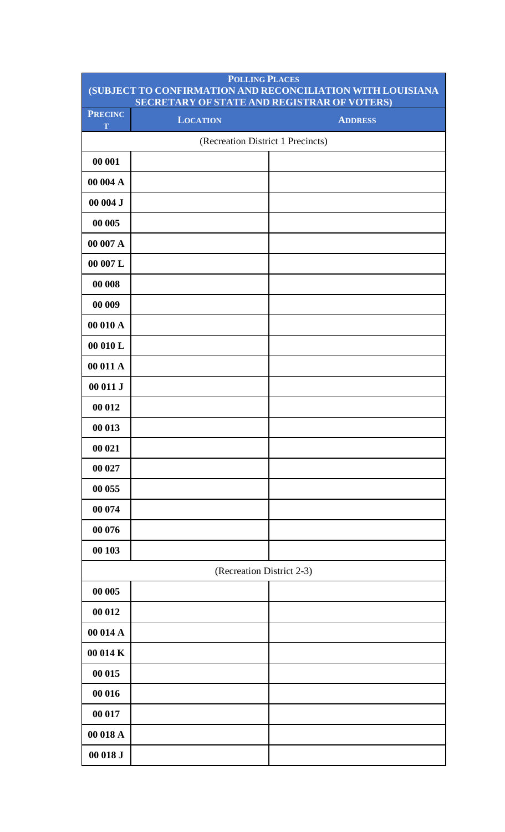|                     | <b>POLLING PLACES</b><br>SECRETARY OF STATE AND REGISTRAR OF VOTERS) | (SUBJECT TO CONFIRMATION AND RECONCILIATION WITH LOUISIANA |
|---------------------|----------------------------------------------------------------------|------------------------------------------------------------|
| <b>PRECINC</b><br>T | <b>LOCATION</b>                                                      | <b>ADDRESS</b>                                             |
|                     | (Recreation District 1 Precincts)                                    |                                                            |
| 00 001              |                                                                      |                                                            |
| 00 004 A            |                                                                      |                                                            |
| 00004J              |                                                                      |                                                            |
| 00 005              |                                                                      |                                                            |
| 00 007 A            |                                                                      |                                                            |
| 00 007 L            |                                                                      |                                                            |
| 00 008              |                                                                      |                                                            |
| 00 009              |                                                                      |                                                            |
| 00 010 A            |                                                                      |                                                            |
| 00 010 L            |                                                                      |                                                            |
| 00 011 A            |                                                                      |                                                            |
| 00 011 J            |                                                                      |                                                            |
| 00 012              |                                                                      |                                                            |
| 00 013              |                                                                      |                                                            |
| 00 021              |                                                                      |                                                            |
| 00 027              |                                                                      |                                                            |
| 00 055              |                                                                      |                                                            |
| 00 074              |                                                                      |                                                            |
| 00 076              |                                                                      |                                                            |
| 00 103              |                                                                      |                                                            |
|                     | (Recreation District 2-3)                                            |                                                            |
| 00 005              |                                                                      |                                                            |
| 00 012              |                                                                      |                                                            |
| 00 014 A            |                                                                      |                                                            |
| 00 014 K            |                                                                      |                                                            |
| 00 015              |                                                                      |                                                            |
| 00 016              |                                                                      |                                                            |
| 00 017              |                                                                      |                                                            |
| 00 018 A            |                                                                      |                                                            |
| 00 018 J            |                                                                      |                                                            |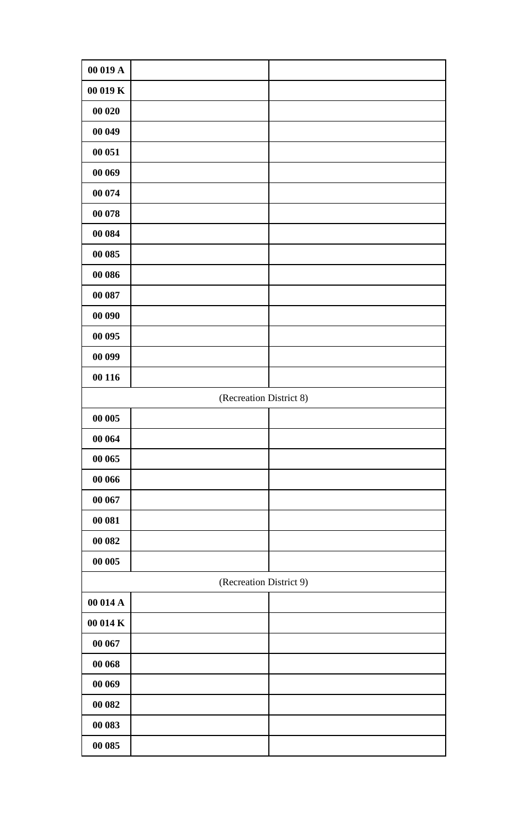| 00 019 A |                         |  |
|----------|-------------------------|--|
| 00 019 K |                         |  |
| 00 020   |                         |  |
| 00 049   |                         |  |
| 00 051   |                         |  |
| 00 069   |                         |  |
| 00 074   |                         |  |
| 00 078   |                         |  |
| 00 084   |                         |  |
| 00 085   |                         |  |
| 00 086   |                         |  |
| 00 087   |                         |  |
| 00 090   |                         |  |
| 00 095   |                         |  |
| 00 099   |                         |  |
| 00 116   |                         |  |
|          | (Recreation District 8) |  |
| 00 005   |                         |  |
| 00 064   |                         |  |
| 00 065   |                         |  |
| 00 066   |                         |  |
| 00 067   |                         |  |
| 00 081   |                         |  |
| 00 082   |                         |  |
| 00 005   |                         |  |
|          | (Recreation District 9) |  |
| 00 014 A |                         |  |
| 00 014 K |                         |  |
| 00 067   |                         |  |
| 00 068   |                         |  |
| 00 069   |                         |  |
| 00 082   |                         |  |
| 00 083   |                         |  |
| 00 085   |                         |  |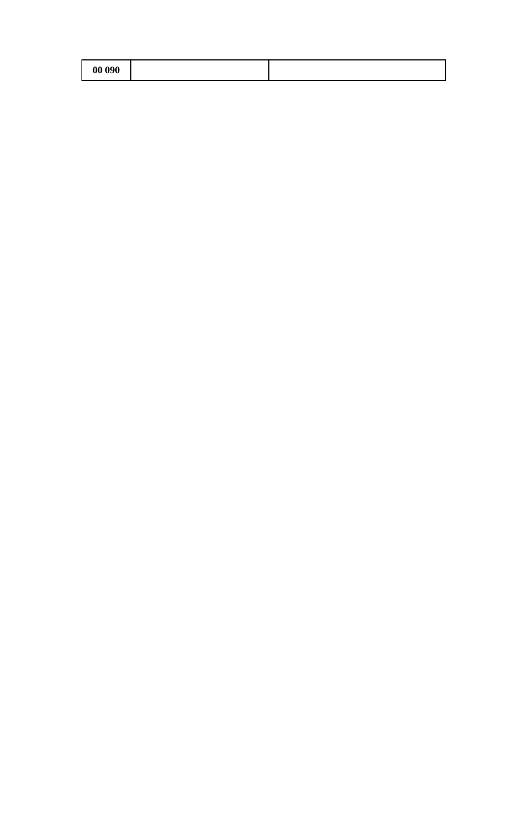| 00 090 |  |
|--------|--|
|--------|--|